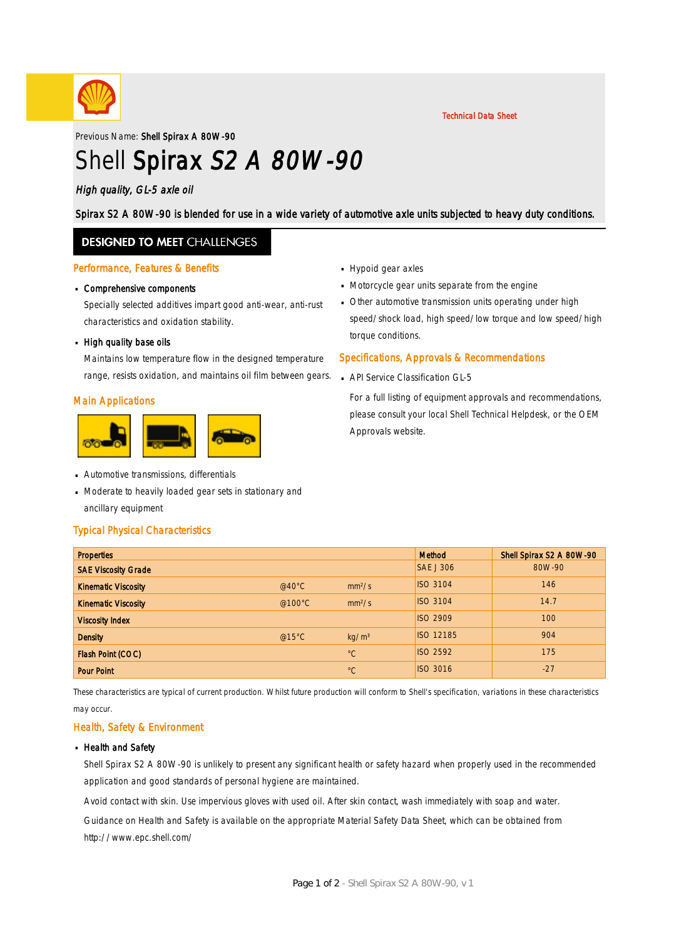

Technical Data Sheet

Previous Name: Shell Spirax A 80W-90

# Shell Spirax S2 A 80W-90

### High quality, GL-5 axle oil

Spirax S2 A 80W-90 is blended for use in a wide variety of automotive axle units subjected to heavy duty conditions.

### **DESIGNED TO MEET CHALLENGES**

#### Performance, Features & Benefits

# Comprehensive components ·

Specially selected additives impart good anti-wear, anti-rust characteristics and oxidation stability.

# - High quality base oils

Maintains low temperature flow in the designed temperature range, resists oxidation, and maintains oil film between gears.

#### Main Applications



- **Automotive transmissions, differentials**
- Moderate to heavily loaded gear sets in stationary and · ancillary equipment

#### Typical Physical Characteristics

- Hypoid gear axles
- **Motorcycle gear units separate from the engine**
- Other automotive transmission units operating under high · speed/shock load, high speed/low torque and low speed/high torque conditions.

#### Specifications, Approvals & Recommendations

**API Service Classification GL-5** 

For a full listing of equipment approvals and recommendations, please consult your local Shell Technical Helpdesk, or the OEM Approvals website.

| <b>Properties</b>          |                  |                    | <b>Method</b>    | Shell Spirax S2 A 80W-90 |
|----------------------------|------------------|--------------------|------------------|--------------------------|
| <b>SAE Viscosity Grade</b> |                  |                    | <b>SAE J 306</b> | 80W-90                   |
| <b>Kinematic Viscosity</b> | @40 $^{\circ}$ C | mm <sup>2</sup> /s | <b>ISO 3104</b>  | 146                      |
| <b>Kinematic Viscosity</b> | @100 $\degree$ C | mm <sup>2</sup> /s | <b>ISO 3104</b>  | 14.7                     |
| <b>Viscosity Index</b>     |                  |                    | <b>ISO 2909</b>  | 100                      |
| <b>Density</b>             | @15°C            | kg/m <sup>3</sup>  | <b>ISO 12185</b> | 904                      |
| Flash Point (COC)          |                  | $^{\circ}C$        | <b>ISO 2592</b>  | 175                      |
| <b>Pour Point</b>          |                  | $^{\circ}C$        | <b>ISO 3016</b>  | $-27$                    |

These characteristics are typical of current production. Whilst future production will conform to Shell's specification, variations in these characteristics may occur.

#### Health, Safety & Environment

#### **Health and Safety**

Shell Spirax S2 A 80W-90 is unlikely to present any significant health or safety hazard when properly used in the recommended application and good standards of personal hygiene are maintained.

Avoid contact with skin. Use impervious gloves with used oil. After skin contact, wash immediately with soap and water.

Guidance on Health and Safety is available on the appropriate Material Safety Data Sheet, which can be obtained from http://www.epc.shell.com/